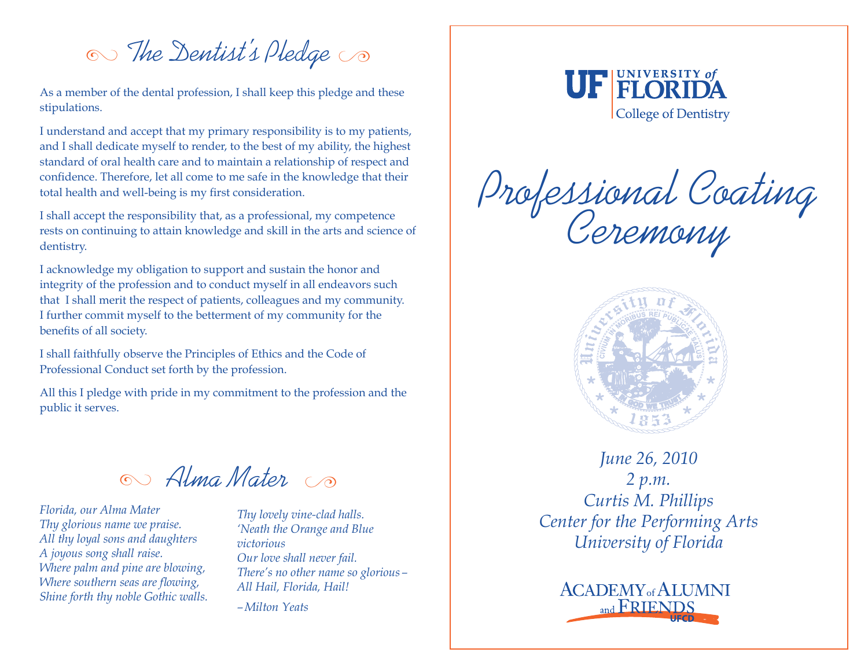The Dentist's Pledge A B

As a member of the dental profession, I shall keep this pledge and these stipulations.

I understand and accept that my primary responsibility is to my patients, and I shall dedicate myself to render, to the best of my ability, the highest standard of oral health care and to maintain a relationship of respect and confidence. Therefore, let all come to me safe in the knowledge that their total health and well-being is my first consideration.

I shall accept the responsibility that, as a professional, my competence rests on continuing to attain knowledge and skill in the arts and science of dentistry.

I acknowledge my obligation to support and sustain the honor and integrity of the profession and to conduct myself in all endeavors such that I shall merit the respect of patients, colleagues and my community. I further commit myself to the betterment of my community for the benefits of all society.

I shall faithfully observe the Principles of Ethics and the Code of Professional Conduct set forth by the profession.

All this I pledge with pride in my commitment to the profession and the public it serves.

 $\circlearrowright$  Alma Mater  $\circlearrowright$ 

*Florida, our Alma Mater Thy glorious name we praise. All thy loyal sons and daughters A joyous song shall raise. Where palm and pine are blowing, Where southern seas are flowing, Shine forth thy noble Gothic walls.*

*Thy lovely vine-clad halls. 'Neath the Orange and Blue victorious Our love shall never fail. There's no other name so glorious– All Hail, Florida, Hail!*

*–Milton Yeats*



Professional Coating Ceremony



*June 26, 2010 2 p.m. Curtis M. Phillips Center for the Performing Arts University of Florida*

**ACADEMY**<sub>of</sub> ALUMNI and **FRIENDS**